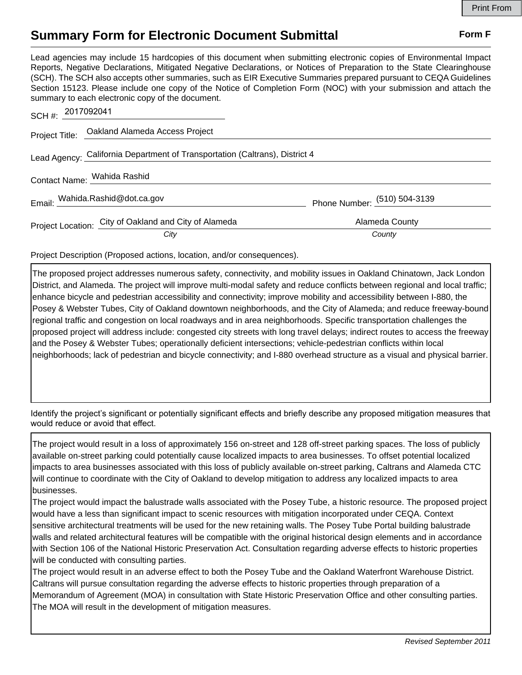## **Summary Form for Electronic Document Submittal Form F Form F**

Lead agencies may include 15 hardcopies of this document when submitting electronic copies of Environmental Impact Reports, Negative Declarations, Mitigated Negative Declarations, or Notices of Preparation to the State Clearinghouse (SCH). The SCH also accepts other summaries, such as EIR Executive Summaries prepared pursuant to CEQA Guidelines Section 15123. Please include one copy of the Notice of Completion Form (NOC) with your submission and attach the summary to each electronic copy of the document.

| SCH #: 2017092041                                                           |                                                       |                                |
|-----------------------------------------------------------------------------|-------------------------------------------------------|--------------------------------|
|                                                                             | Project Title: Oakland Alameda Access Project         |                                |
| Lead Agency: California Department of Transportation (Caltrans), District 4 |                                                       |                                |
|                                                                             | Contact Name: Wahida Rashid                           |                                |
|                                                                             | Email: Wahida.Rashid@dot.ca.gov                       | Phone Number: $(510)$ 504-3139 |
|                                                                             | Project Location: City of Oakland and City of Alameda | Alameda County                 |
|                                                                             | City                                                  | County                         |

Project Description (Proposed actions, location, and/or consequences).

The proposed project addresses numerous safety, connectivity, and mobility issues in Oakland Chinatown, Jack London District, and Alameda. The project will improve multi-modal safety and reduce conflicts between regional and local traffic; enhance bicycle and pedestrian accessibility and connectivity; improve mobility and accessibility between I-880, the Posey & Webster Tubes, City of Oakland downtown neighborhoods, and the City of Alameda; and reduce freeway-bound regional traffic and congestion on local roadways and in area neighborhoods. Specific transportation challenges the proposed project will address include: congested city streets with long travel delays; indirect routes to access the freeway and the Posey & Webster Tubes; operationally deficient intersections; vehicle-pedestrian conflicts within local neighborhoods; lack of pedestrian and bicycle connectivity; and I-880 overhead structure as a visual and physical barrier.

Identify the project's significant or potentially significant effects and briefly describe any proposed mitigation measures that would reduce or avoid that effect.

The project would result in a loss of approximately 156 on-street and 128 off-street parking spaces. The loss of publicly available on-street parking could potentially cause localized impacts to area businesses. To offset potential localized impacts to area businesses associated with this loss of publicly available on-street parking, Caltrans and Alameda CTC will continue to coordinate with the City of Oakland to develop mitigation to address any localized impacts to area businesses.

The project would impact the balustrade walls associated with the Posey Tube, a historic resource. The proposed project would have a less than significant impact to scenic resources with mitigation incorporated under CEQA. Context sensitive architectural treatments will be used for the new retaining walls. The Posey Tube Portal building balustrade walls and related architectural features will be compatible with the original historical design elements and in accordance with Section 106 of the National Historic Preservation Act. Consultation regarding adverse effects to historic properties will be conducted with consulting parties.

The project would result in an adverse effect to both the Posey Tube and the Oakland Waterfront Warehouse District. Caltrans will pursue consultation regarding the adverse effects to historic properties through preparation of a Memorandum of Agreement (MOA) in consultation with State Historic Preservation Office and other consulting parties. The MOA will result in the development of mitigation measures.